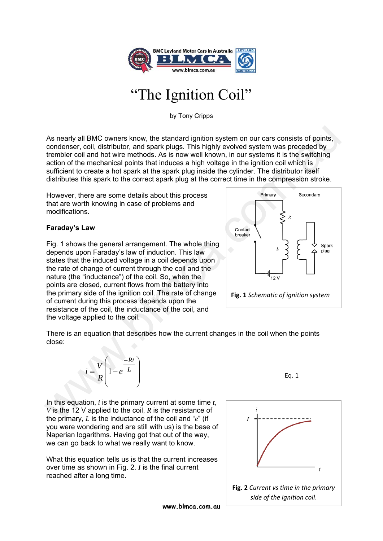

# 'The Ignition Coil"

by Tony Cripps

As nearly all BMC owners know, the standard ignition system on our cars consists of points, condenser, coil, distributor, and spark plugs. This highly evolved system was preceded by trembler coil and hot wire methods. As is now well known, in our systems it is the switching action of the mechanical points that induces a high voltage in the ignition coil which is sufficient to create a hot spark at the spark plug inside the cylinder. The distributor itself distributes this spark to the correct spark plug at the correct time in the compression stroke.

However, there are some details about this process that are worth knowing in case of problems and modifications.

# **Faraday's Law**

Fig. 1 shows the general arrangement. The whole thing depends upon Faraday's law of induction. This law states that the induced voltage in a coil depends upon the rate of change of current through the coil and the nature (the "inductance") of the coil. So, when the points are closed, current flows from the battery into the primary side of the ignition coil. The rate of change of current during this process depends upon the resistance of the coil, the inductance of the coil, and the voltage applied to the coil. As nearly all BMC owners know, the standard ignition system on our cars consists of points,<br>condener, coil, distribution, and spark plugs. This highly evolved system was preceded by<br>termbler coil and hot wire methods. As



There is an equation that describes how the current changes in the coil when the points close:



In this equation, *i* is the primary current at some time *t*, *V* is the 12 V applied to the coil, *R* is the resistance of the primary, *L* is the inductance of the coil and "*e*" (if you were wondering and are still with us) is the base of Naperian logarithms. Having got that out of the way, we can go back to what we really want to know.

What this equation tells us is that the current increases over time as shown in Fig. 2. *I* is the final current reached after a long time.



**www.blmca.com.au**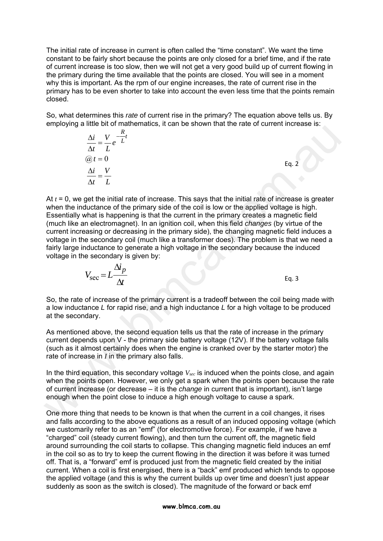The initial rate of increase in current is often called the "time constant". We want the time constant to be fairly short because the points are only closed for a brief time, and if the rate of current increase is too slow, then we will not get a very good build up of current flowing in the primary during the time available that the points are closed. You will see in a moment why this is important. As the rpm of our engine increases, the rate of current rise in the primary has to be even shorter to take into account the even less time that the points remain closed.

So, what determines this *rate* of current rise in the primary? The equation above tells us. By employing a little bit of mathematics, it can be shown that the rate of current increase is:

| $\mathbf{11}$<br>$\frac{\Delta i}{\Delta t} = \frac{V}{L}e^{-\frac{H}{L}t}$ |       |
|-----------------------------------------------------------------------------|-------|
|                                                                             |       |
| $\mathcal{Q}_t = 0$                                                         | Eq. 2 |
| $\frac{\Delta i}{\Delta i} = \frac{V}{\Delta i}$                            |       |
| $\Delta t$                                                                  |       |

*R*

At *t* = 0, we get the initial rate of increase. This says that the initial rate of increase is greater when the inductance of the primary side of the coil is low or the applied voltage is high. Essentially what is happening is that the current in the primary creates a magnetic field (much like an electromagnet). In an ignition coil, when this field *changes* (by virtue of the current increasing or decreasing in the primary side), the changing magnetic field induces a voltage in the secondary coil (much like a transformer does). The problem is that we need a fairly large inductance to generate a high voltage in the secondary because the induced voltage in the secondary is given by: on the standard in the standard in the standard in the standard in the standard in the standard in the standard in the standard in the standard in the standard in the standard Standard Standard Standard Standard Standard

$$
V_{\text{sec}} = L \frac{\Delta i_p}{\Delta t}
$$
 Eq. 3

So, the rate of increase of the primary current is a tradeoff between the coil being made with a low inductance *L* for rapid rise, and a high inductance *L* for a high voltage to be produced at the secondary.

As mentioned above, the second equation tells us that the rate of increase in the primary current depends upon V - the primary side battery voltage (12V). If the battery voltage falls (such as it almost certainly does when the engine is cranked over by the starter motor) the rate of increase in *I* in the primary also falls.

In the third equation, this secondary voltage  $V_{sec}$  is induced when the points close, and again when the points open. However, we only get a spark when the points open because the rate of current increase (or decrease – it is the *change* in current that is important), isn't large enough when the point close to induce a high enough voltage to cause a spark.

One more thing that needs to be known is that when the current in a coil changes, it rises and falls according to the above equations as a result of an induced opposing voltage (which we customarily refer to as an "emf" (for electromotive force). For example, if we have a "charged" coil (steady current flowing), and then turn the current off, the magnetic field around surrounding the coil starts to collapse. This changing magnetic field induces an emf in the coil so as to try to keep the current flowing in the direction it was before it was turned off. That is, a "forward" emf is produced just from the magnetic field created by the initial current. When a coil is first energised, there is a "back" emf produced which tends to oppose the applied voltage (and this is why the current builds up over time and doesn't just appear suddenly as soon as the switch is closed). The magnitude of the forward or back emf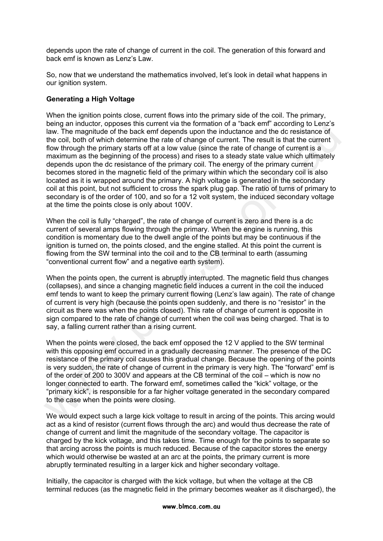depends upon the rate of change of current in the coil. The generation of this forward and back emf is known as Lenz's Law.

So, now that we understand the mathematics involved, let's look in detail what happens in our ignition system.

## **Generating a High Voltage**

When the ignition points close, current flows into the primary side of the coil. The primary, being an inductor, opposes this current via the formation of a "back emf" according to Lenz's law. The magnitude of the back emf depends upon the inductance and the dc resistance of the coil, both of which determine the rate of change of current. The result is that the current flow through the primary starts off at a low value (since the rate of change of current is a maximum as the beginning of the process) and rises to a steady state value which ultimately depends upon the dc resistance of the primary coil. The energy of the primary current becomes stored in the magnetic field of the primary within which the secondary coil is also located as it is wrapped around the primary. A high voltage is generated in the secondary coil at this point, but not sufficient to cross the spark plug gap. The ratio of turns of primary to secondary is of the order of 100, and so for a 12 volt system, the induced secondary voltage at the time the points close is only about 100V. law. The magnitude of the back emf depends upon the inductance and the dc resistance of<br>the coil. both of whold determine the rate of change of current. The result is that the coil<br>thow through the primary starts off at a

When the coil is fully "charged", the rate of change of current is zero and there is a dc current of several amps flowing through the primary. When the engine is running, this condition is momentary due to the dwell angle of the points but may be continuous if the ignition is turned on, the points closed, and the engine stalled. At this point the current is flowing from the SW terminal into the coil and to the CB terminal to earth (assuming "conventional current flow" and a negative earth system).

When the points open, the current is abruptly interrupted. The magnetic field thus changes (collapses), and since a changing magnetic field induces a current in the coil the induced emf tends to want to keep the primary current flowing (Lenz's law again). The rate of change of current is very high (because the points open suddenly, and there is no "resistor" in the circuit as there was when the points closed). This rate of change of current is opposite in sign compared to the rate of change of current when the coil was being charged. That is to say, a falling current rather than a rising current.

When the points were closed, the back emf opposed the 12 V applied to the SW terminal with this opposing emf occurred in a gradually decreasing manner. The presence of the DC resistance of the primary coil causes this gradual change. Because the opening of the points is very sudden, the rate of change of current in the primary is very high. The "forward" emf is of the order of 200 to 300V and appears at the CB terminal of the coil – which is now no longer connected to earth. The forward emf, sometimes called the "kick" voltage, or the "primary kick", is responsible for a far higher voltage generated in the secondary compared to the case when the points were closing.

We would expect such a large kick voltage to result in arcing of the points. This arcing would act as a kind of resistor (current flows through the arc) and would thus decrease the rate of change of current and limit the magnitude of the secondary voltage. The capacitor is charged by the kick voltage, and this takes time. Time enough for the points to separate so that arcing across the points is much reduced. Because of the capacitor stores the energy which would otherwise be wasted at an arc at the points, the primary current is more abruptly terminated resulting in a larger kick and higher secondary voltage.

Initially, the capacitor is charged with the kick voltage, but when the voltage at the CB terminal reduces (as the magnetic field in the primary becomes weaker as it discharged), the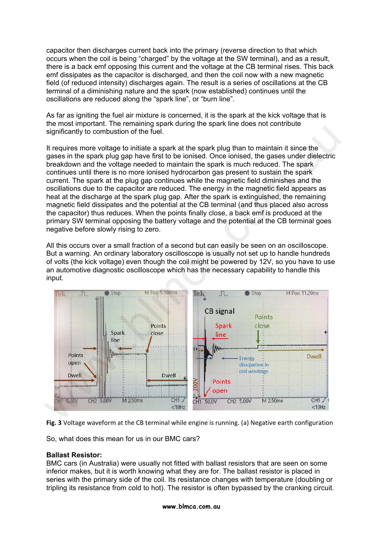capacitor then discharges current back into the primary (reverse direction to that which occurs when the coil is being "charged" by the voltage at the SW terminal), and as a result, there is a back emf opposing this current and the voltage at the CB terminal rises. This back emf dissipates as the capacitor is discharged, and then the coil now with a new magnetic field (of reduced intensity) discharges again. The result is a series of oscillations at the CB terminal of a diminishing nature and the spark (now established) continues until the oscillations are reduced along the "spark line", or "burn line".

As far as igniting the fuel air mixture is concerned, it is the spark at the kick voltage that is the most important. The remaining spark during the spark line does not contribute significantly to combustion of the fuel.

It requires more voltage to initiate a spark at the spark plug than to maintain it since the gases in the spark plug gap have first to be ionised. Once ionised, the gases under dielectric breakdown and the voltage needed to maintain the spark is much reduced. The spark continues until there is no more ionised hydrocarbon gas present to sustain the spark current. The spark at the plug gap continues while the magnetic field diminishes and the oscillations due to the capacitor are reduced. The energy in the magnetic field appears as heat at the discharge at the spark plug gap. After the spark is extinguished, the remaining magnetic field dissipates and the potential at the CB terminal (and thus placed also across the capacitor) thus reduces. When the points finally close, a back emf is produced at the primary SW terminal opposing the battery voltage and the potential at the CB terminal goes negative before slowly rising to zero.

All this occurs over a small fraction of a second but can easily be seen on an oscilloscope. But a warning. An ordinary laboratory oscilloscope is usually not set up to handle hundreds of volts (the kick voltage) even though the coil might be powered by 12V, so you have to use an automotive diagnostic oscilloscope which has the necessary capability to handle this input.



**Fig. 3** Voltage waveform at the CB terminal while engine is running. (a) Negative earth configuration

So, what does this mean for us in our BMC cars?

#### **Ballast Resistor:**

BMC cars (in Australia) were usually not fitted with ballast resistors that are seen on some inferior makes, but it is worth knowing what they are for. The ballast resistor is placed in series with the primary side of the coil. Its resistance changes with temperature (doubling or tripling its resistance from cold to hot). The resistor is often bypassed by the cranking circuit.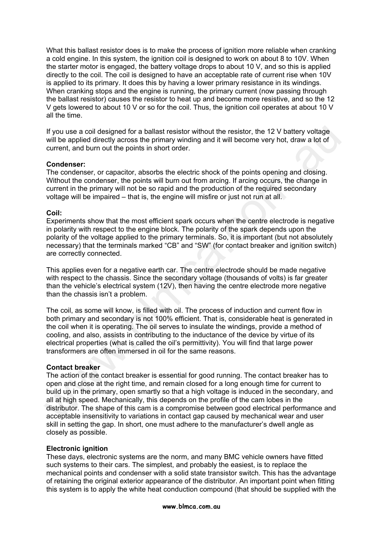What this ballast resistor does is to make the process of ignition more reliable when cranking a cold engine. In this system, the ignition coil is designed to work on about 8 to 10V. When the starter motor is engaged, the battery voltage drops to about 10 V, and so this is applied directly to the coil. The coil is designed to have an acceptable rate of current rise when 10V is applied to its primary. It does this by having a lower primary resistance in its windings. When cranking stops and the engine is running, the primary current (now passing through the ballast resistor) causes the resistor to heat up and become more resistive, and so the 12 V gets lowered to about 10 V or so for the coil. Thus, the ignition coil operates at about 10 V all the time.

If you use a coil designed for a ballast resistor without the resistor, the 12 V battery voltage will be applied directly across the primary winding and it will become very hot, draw a lot of current, and burn out the points in short order.

#### **Condenser:**

The condenser, or capacitor, absorbs the electric shock of the points opening and closing. Without the condenser, the points will burn out from arcing. If arcing occurs, the change in current in the primary will not be so rapid and the production of the required secondary voltage will be impaired – that is, the engine will misfire or just not run at all.

#### **Coil:**

Experiments show that the most efficient spark occurs when the centre electrode is negative in polarity with respect to the engine block. The polarity of the spark depends upon the polarity of the voltage applied to the primary terminals. So, it is important (but not absolutely necessary) that the terminals marked "CB" and "SW" (for contact breaker and ignition switch) are correctly connected.

This applies even for a negative earth car. The centre electrode should be made negative with respect to the chassis. Since the secondary voltage (thousands of volts) is far greater than the vehicle's electrical system (12V), then having the centre electrode more negative than the chassis isn't a problem.

The coil, as some will know, is filled with oil. The process of induction and current flow in both primary and secondary is not 100% efficient. That is, considerable heat is generated in the coil when it is operating. The oil serves to insulate the windings, provide a method of cooling, and also, assists in contributing to the inductance of the device by virtue of its electrical properties (what is called the oil's permittivity). You will find that large power transformers are often immersed in oil for the same reasons.

#### **Contact breaker**

The action of the contact breaker is essential for good running. The contact breaker has to open and close at the right time, and remain closed for a long enough time for current to build up in the primary, open smartly so that a high voltage is induced in the secondary, and all at high speed. Mechanically, this depends on the profile of the cam lobes in the distributor. The shape of this cam is a compromise between good electrical performance and acceptable insensitivity to variations in contact gap caused by mechanical wear and user skill in setting the gap. In short, one must adhere to the manufacturer's dwell angle as closely as possible. If you use a coil designed for a ballast resistor without the resistor, the 12 V battery voltage<br>will be applied directly across the primary winding and it will become very hot, draw a lot of<br>current, and burn out the proi

## **Electronic ignition**

These days, electronic systems are the norm, and many BMC vehicle owners have fitted such systems to their cars. The simplest, and probably the easiest, is to replace the mechanical points and condenser with a solid state transistor switch. This has the advantage of retaining the original exterior appearance of the distributor. An important point when fitting this system is to apply the white heat conduction compound (that should be supplied with the